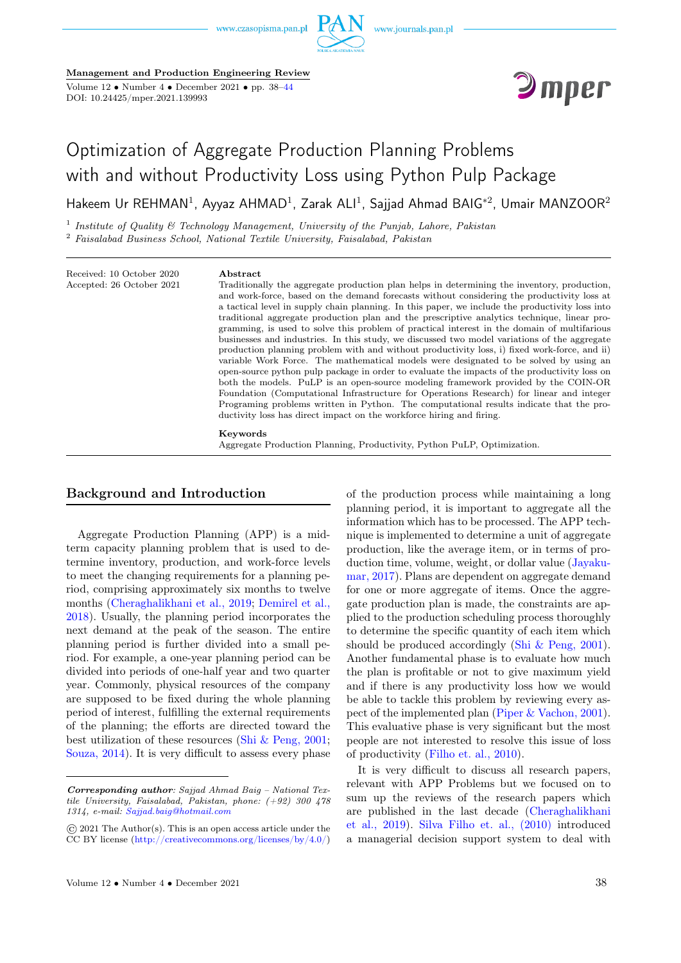

Management and Production Engineering Review Volume 12 • Number 4 • December 2021 • pp. 38[–44](#page-5-0)

DOI: 10.24425/mper.2021.139993



# Optimization of Aggregate Production Planning Problems with and without Productivity Loss using Python Pulp Package

 ${\sf H}$ akeem Ur REHMAN $^1$ , Ayyaz AHMAD $^1$ , Zarak ALI $^1$ , Sajjad Ahmad BAIG $^{*2}$ , Umair MANZOOR $^2$ 

<sup>1</sup> Institute of Quality  $\mathfrak G$  Technology Management, University of the Punjab, Lahore, Pakistan <sup>2</sup> Faisalabad Business School, National Textile University, Faisalabad, Pakistan

Received: 10 October 2020 Accepted: 26 October 2021

#### Abstract

Traditionally the aggregate production plan helps in determining the inventory, production, and work-force, based on the demand forecasts without considering the productivity loss at a tactical level in supply chain planning. In this paper, we include the productivity loss into traditional aggregate production plan and the prescriptive analytics technique, linear programming, is used to solve this problem of practical interest in the domain of multifarious businesses and industries. In this study, we discussed two model variations of the aggregate production planning problem with and without productivity loss, i) fixed work-force, and ii) variable Work Force. The mathematical models were designated to be solved by using an open-source python pulp package in order to evaluate the impacts of the productivity loss on both the models. PuLP is an open-source modeling framework provided by the COIN-OR Foundation (Computational Infrastructure for Operations Research) for linear and integer Programing problems written in Python. The computational results indicate that the productivity loss has direct impact on the workforce hiring and firing.

Keywords

Aggregate Production Planning, Productivity, Python PuLP, Optimization.

## Background and Introduction

Aggregate Production Planning (APP) is a midterm capacity planning problem that is used to determine inventory, production, and work-force levels to meet the changing requirements for a planning period, comprising approximately six months to twelve months [\(Cheraghalikhani et al., 2019;](#page-5-0) [Demirel et al.,](#page-5-0) [2018\)](#page-5-0). Usually, the planning period incorporates the next demand at the peak of the season. The entire planning period is further divided into a small period. For example, a one-year planning period can be divided into periods of one-half year and two quarter year. Commonly, physical resources of the company are supposed to be fixed during the whole planning period of interest, fulfilling the external requirements of the planning; the efforts are directed toward the best utilization of these resources [\(Shi & Peng, 2001;](#page-5-0) [Souza, 2014\)](#page-5-0). It is very difficult to assess every phase

of the production process while maintaining a long planning period, it is important to aggregate all the information which has to be processed. The APP technique is implemented to determine a unit of aggregate production, like the average item, or in terms of production time, volume, weight, or dollar value [\(Jayaku](#page-5-0)[mar, 2017\)](#page-5-0). Plans are dependent on aggregate demand for one or more aggregate of items. Once the aggregate production plan is made, the constraints are applied to the production scheduling process thoroughly to determine the specific quantity of each item which should be produced accordingly [\(Shi & Peng, 2001\)](#page-5-0). Another fundamental phase is to evaluate how much the plan is profitable or not to give maximum yield and if there is any productivity loss how we would be able to tackle this problem by reviewing every aspect of the implemented plan [\(Piper & Vachon, 2001\)](#page-5-0). This evaluative phase is very significant but the most people are not interested to resolve this issue of loss of productivity [\(Filho et. al., 2010\)](#page-5-0).

It is very difficult to discuss all research papers, relevant with APP Problems but we focused on to sum up the reviews of the research papers which are published in the last decade [\(Cheraghalikhani](#page-5-0) [et al., 2019\)](#page-5-0). [Silva Filho et. al., \(2010\)](#page-5-0) introduced a managerial decision support system to deal with

Corresponding author: Sajjad Ahmad Baig – National Textile University, Faisalabad, Pakistan, phone: (+92) 300 478 1314, e-mail: [Sajjad.baig@hotmail.com](mailto:Sajjad.baig@hotmail.com)

<sup>©</sup> 2021 The Author(s). This is an open access article under the CC BY license [\(http://creativecommons.org/licenses/by/4.0/\)](http://creativecommons.org/licenses/by/4.0/)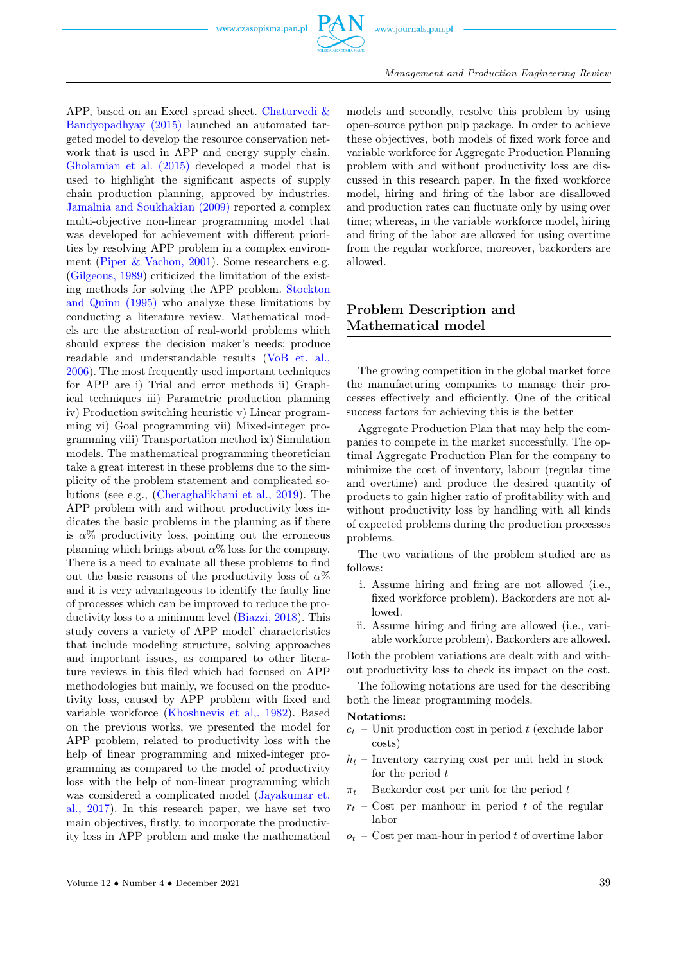

Management and Production Engineering Review

APP, based on an Excel spread sheet. [Chaturvedi &](#page-5-0) [Bandyopadhyay \(2015\)](#page-5-0) launched an automated targeted model to develop the resource conservation network that is used in APP and energy supply chain. [Gholamian et al. \(2015\)](#page-5-0) developed a model that is used to highlight the significant aspects of supply chain production planning, approved by industries. [Jamalnia and Soukhakian \(2009\)](#page-5-0) reported a complex multi-objective non-linear programming model that was developed for achievement with different priorities by resolving APP problem in a complex environment [\(Piper & Vachon, 2001\)](#page-5-0). Some researchers e.g. [\(Gilgeous, 1989\)](#page-5-0) criticized the limitation of the existing methods for solving the APP problem. [Stockton](#page-5-0) [and Quinn \(1995\)](#page-5-0) who analyze these limitations by conducting a literature review. Mathematical models are the abstraction of real-world problems which should express the decision maker's needs; produce readable and understandable results [\(VoB et. al.,](#page-5-0) [2006\)](#page-5-0). The most frequently used important techniques for APP are i) Trial and error methods ii) Graphical techniques iii) Parametric production planning iv) Production switching heuristic v) Linear programming vi) Goal programming vii) Mixed-integer programming viii) Transportation method ix) Simulation models. The mathematical programming theoretician take a great interest in these problems due to the simplicity of the problem statement and complicated solutions (see e.g., [\(Cheraghalikhani et al., 2019\)](#page-5-0). The APP problem with and without productivity loss indicates the basic problems in the planning as if there is  $\alpha\%$  productivity loss, pointing out the erroneous planning which brings about  $\alpha\%$  loss for the company. There is a need to evaluate all these problems to find out the basic reasons of the productivity loss of  $\alpha$ % and it is very advantageous to identify the faulty line of processes which can be improved to reduce the productivity loss to a minimum level [\(Biazzi, 2018\)](#page-5-0). This study covers a variety of APP model' characteristics that include modeling structure, solving approaches and important issues, as compared to other literature reviews in this filed which had focused on APP methodologies but mainly, we focused on the productivity loss, caused by APP problem with fixed and variable workforce [\(Khoshnevis et al,. 1982\)](#page-5-0). Based on the previous works, we presented the model for APP problem, related to productivity loss with the help of linear programming and mixed-integer programming as compared to the model of productivity loss with the help of non-linear programming which was considered a complicated model [\(Jayakumar et.](#page-5-0) [al., 2017\)](#page-5-0). In this research paper, we have set two main objectives, firstly, to incorporate the productivity loss in APP problem and make the mathematical

models and secondly, resolve this problem by using open-source python pulp package. In order to achieve these objectives, both models of fixed work force and variable workforce for Aggregate Production Planning problem with and without productivity loss are discussed in this research paper. In the fixed workforce model, hiring and firing of the labor are disallowed and production rates can fluctuate only by using over time; whereas, in the variable workforce model, hiring and firing of the labor are allowed for using overtime from the regular workforce, moreover, backorders are allowed.

# Problem Description and Mathematical model

The growing competition in the global market force the manufacturing companies to manage their processes effectively and efficiently. One of the critical success factors for achieving this is the better

Aggregate Production Plan that may help the companies to compete in the market successfully. The optimal Aggregate Production Plan for the company to minimize the cost of inventory, labour (regular time and overtime) and produce the desired quantity of products to gain higher ratio of profitability with and without productivity loss by handling with all kinds of expected problems during the production processes problems.

The two variations of the problem studied are as follows:

- i. Assume hiring and firing are not allowed (i.e., fixed workforce problem). Backorders are not allowed.
- ii. Assume hiring and firing are allowed (i.e., variable workforce problem). Backorders are allowed.

Both the problem variations are dealt with and without productivity loss to check its impact on the cost.

The following notations are used for the describing both the linear programming models.

## Notations:

- $c_t$  Unit production cost in period t (exclude labor costs)
- $h_t$  Inventory carrying cost per unit held in stock for the period  $t$
- $\pi_t$  Backorder cost per unit for the period t
- $r_t$  Cost per manhour in period t of the regular labor
- $o_t$  Cost per man-hour in period t of overtime labor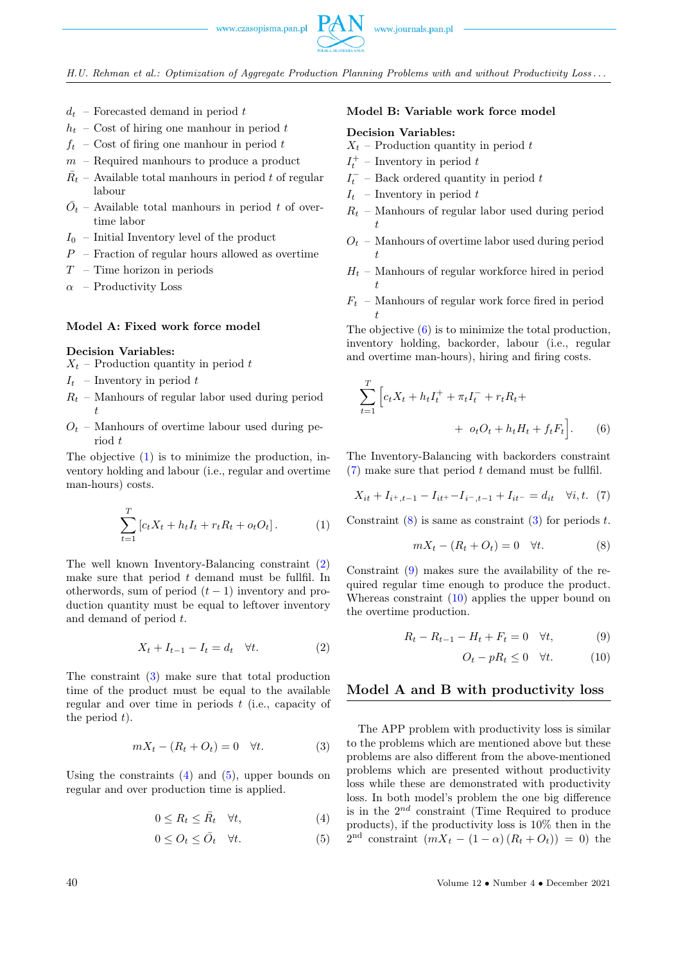H.U. Rehman et al.: Optimization of Aggregate Production Planning Problems with and without Productivity Loss . . .

- $d_t$  Forecasted demand in period t
- $h_t$  Cost of hiring one manhour in period t
- $f_t$  Cost of firing one manhour in period t
- $m$  Required manhours to produce a product
- $\bar{R}_t$  Available total manhours in period t of regular labour
- $\overline{O}_t$  Available total manhours in period t of overtime labor
- $I_0$  Initial Inventory level of the product
- $P -$  Fraction of regular hours allowed as overtime
- $T$  Time horizon in periods
- $\alpha$  Productivity Loss

## Model A: Fixed work force model

#### Decision Variables:

- $X_t$  Production quantity in period t
- $I_t$  Inventory in period t
- $R_t$  Manhours of regular labor used during period t
- $O_t$  Manhours of overtime labour used during period t

The objective [\(1\)](#page-2-0) is to minimize the production, inventory holding and labour (i.e., regular and overtime man-hours) costs.

<span id="page-2-0"></span>
$$
\sum_{t=1}^{T} [c_t X_t + h_t I_t + r_t R_t + o_t O_t]. \tag{1}
$$

The well known Inventory-Balancing constraint [\(2\)](#page-2-1) make sure that period  $t$  demand must be fullfil. In otherwords, sum of period  $(t-1)$  inventory and production quantity must be equal to leftover inventory and demand of period t.

<span id="page-2-1"></span>
$$
X_t + I_{t-1} - I_t = d_t \quad \forall t. \tag{2}
$$

The constraint [\(3\)](#page-2-2) make sure that total production time of the product must be equal to the available regular and over time in periods  $t$  (i.e., capacity of the period  $t$ ).

<span id="page-2-2"></span>
$$
mX_t - (R_t + O_t) = 0 \quad \forall t. \tag{3}
$$

Using the constraints  $(4)$  and  $(5)$ , upper bounds on regular and over production time is applied.

$$
0 \le R_t \le \bar{R}_t \quad \forall t,\tag{4}
$$

$$
0 \le O_t \le \bar{O}_t \quad \forall t. \tag{5}
$$

#### Model B: Variable work force model

## Decision Variables:

- $X_t$  Production quantity in period t
- $I_t^+$  Inventory in period t
- $I_t^-$  Back ordered quantity in period t
- $I_t$  Inventory in period t
- $R_t$  Manhours of regular labor used during period t
- $O_t$  Manhours of overtime labor used during period t
- $H_t$  Manhours of regular workforce hired in period t
- $\mathcal{F}_t$  Manhours of regular work force fired in period t

The objective [\(6\)](#page-2-5) is to minimize the total production, inventory holding, backorder, labour (i.e., regular and overtime man-hours), hiring and firing costs.

$$
\sum_{t=1}^{T} \left[ c_t X_t + h_t I_t^+ + \pi_t I_t^- + r_t R_t + \right. \\ \left. + o_t O_t + h_t H_t + f_t F_t \right]. \tag{6}
$$

The Inventory-Balancing with backorders constraint  $(7)$  make sure that period t demand must be fullfil.

<span id="page-2-6"></span>
$$
X_{it} + I_{i^+, t-1} - I_{it^+} - I_{i^-, t-1} + I_{it^-} = d_{it} \quad \forall i, t. \tag{7}
$$

Constraint  $(8)$  is same as constraint  $(3)$  for periods t.

<span id="page-2-7"></span><span id="page-2-5"></span>
$$
mX_t - (R_t + O_t) = 0 \quad \forall t. \tag{8}
$$

Constraint [\(9\)](#page-2-8) makes sure the availability of the required regular time enough to produce the product. Whereas constraint [\(10\)](#page-2-9) applies the upper bound on the overtime production.

$$
R_t - R_{t-1} - H_t + F_t = 0 \quad \forall t,
$$
\n
$$
(9)
$$

<span id="page-2-9"></span><span id="page-2-8"></span>
$$
O_t - pR_t \le 0 \quad \forall t. \tag{10}
$$

## Model A and B with productivity loss

<span id="page-2-4"></span><span id="page-2-3"></span>The APP problem with productivity loss is similar to the problems which are mentioned above but these problems are also different from the above-mentioned problems which are presented without productivity loss while these are demonstrated with productivity loss. In both model's problem the one big difference is in the  $2^{nd}$  constraint (Time Required to produce products), if the productivity loss is 10% then in the  $2<sup>nd</sup>$  constraint  $(mX_t - (1 - \alpha) (R_t + O_t)) = 0$  the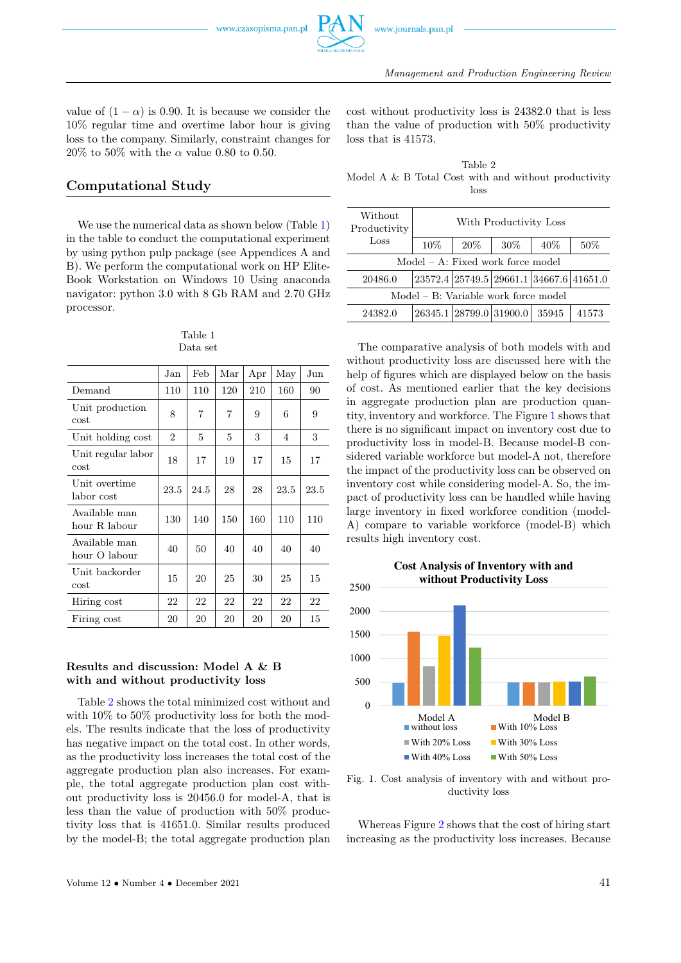

Management and Production Engineering Review

value of  $(1 - \alpha)$  is 0.90. It is because we consider the 10% regular time and overtime labor hour is giving loss to the company. Similarly, constraint changes for  $20\%$  to 50% with the  $\alpha$  value 0.80 to 0.50.

# Computational Study

We use the numerical data as shown below (Table [1\)](#page-3-0) in the table to conduct the computational experiment by using python pulp package (see Appendices A and B). We perform the computational work on HP Elite-Book Workstation on Windows 10 Using anaconda navigator: python 3.0 with 8 Gb RAM and 2.70 GHz processor.

#### Table 1 Data set

<span id="page-3-0"></span>

|                                | Jan            | Feb  | Mar | Apr | May  | Jun  |
|--------------------------------|----------------|------|-----|-----|------|------|
| Demand                         | 110            | 110  | 120 | 210 | 160  | 90   |
| Unit production<br>cost        | 8              | 7    | 7   | 9   | 6    | 9    |
| Unit holding cost              | $\overline{2}$ | 5    | 5   | 3   | 4    | 3    |
| Unit regular labor<br>cost     | 18             | 17   | 19  | 17  | 15   | 17   |
| Unit overtime<br>labor cost    | 23.5           | 24.5 | 28  | 28  | 23.5 | 23.5 |
| Available man<br>hour R labour | 130            | 140  | 150 | 160 | 110  | 110  |
| Available man<br>hour O labour | 40             | 50   | 40  | 40  | 40   | 40   |
| Unit backorder<br>cost         | 15             | 20   | 25  | 30  | 25   | 15   |
| Hiring cost                    | 22             | 22   | 22  | 22  | 22   | 22   |
| Firing cost                    | 20             | 20   | 20  | 20  | 20   | 15   |

## Results and discussion: Model A & B with and without productivity loss

Table [2](#page-3-1) shows the total minimized cost without and with 10% to 50% productivity loss for both the models. The results indicate that the loss of productivity has negative impact on the total cost. In other words, as the productivity loss increases the total cost of the aggregate production plan also increases. For example, the total aggregate production plan cost without productivity loss is 20456.0 for model-A, that is less than the value of production with 50% productivity loss that is 41651.0. Similar results produced by the model-B; the total aggregate production plan

cost without productivity loss is 24382.0 that is less than the value of production with 50% productivity loss that is 41573.

<span id="page-3-1"></span>Table 2 Model A & B Total Cost with and without productivity loss

| Without<br>Productivity              | With Productivity Loss |                         |      |                                         |       |  |  |  |  |
|--------------------------------------|------------------------|-------------------------|------|-----------------------------------------|-------|--|--|--|--|
| Loss                                 | 10%                    | $20\%$                  | 30\% | $40\%$                                  | 50%   |  |  |  |  |
| $Model - A$ : Fixed work force model |                        |                         |      |                                         |       |  |  |  |  |
| 20486.0                              |                        |                         |      | 23572.4 25749.5 29661.1 34667.6 41651.0 |       |  |  |  |  |
| Model – B: Variable work force model |                        |                         |      |                                         |       |  |  |  |  |
| 24382.0                              |                        | 26345.1 28799.0 31900.0 |      | 35945                                   | 41573 |  |  |  |  |

The comparative analysis of both models with and without productivity loss are discussed here with the help of figures which are displayed below on the basis of cost. As mentioned earlier that the key decisions in aggregate production plan are production quantity, inventory and workforce. The Figure [1](#page-3-2) shows that there is no significant impact on inventory cost due to productivity loss in model-B. Because model-B considered variable workforce but model-A not, therefore the impact of the productivity loss can be observed on inventory cost while considering model-A. So, the impact of productivity loss can be handled while having large inventory in fixed workforce condition (model-A) compare to variable workforce (model-B) which results high inventory cost.

<span id="page-3-2"></span>

Fig. 1. Cost analysis of inventory with and without productivity loss

Whereas Figure [2](#page-4-0) shows that the cost of hiring start increasing as the productivity loss increases. Because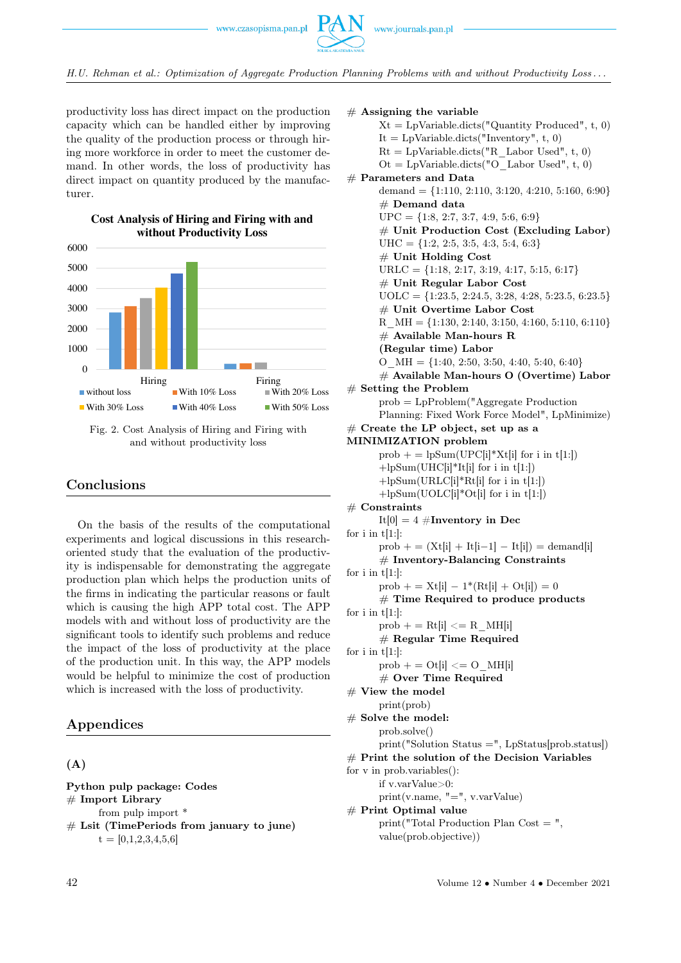H.U. Rehman et al.: Optimization of Aggregate Production Planning Problems with and without Productivity Loss . . .

productivity loss has direct impact on the production capacity which can be handled either by improving the quality of the production process or through hiring more workforce in order to meet the customer demand. In other words, the loss of productivity has direct impact on quantity produced by the manufacturer.

**Cost Analysis of Hiring and Firing with and**

<span id="page-4-0"></span>

Fig. 2. Cost Analysis of Hiring and Firing with and without productivity loss

# Conclusions

On the basis of the results of the computational experiments and logical discussions in this researchoriented study that the evaluation of the productivity is indispensable for demonstrating the aggregate production plan which helps the production units of the firms in indicating the particular reasons or fault which is causing the high APP total cost. The APP models with and without loss of productivity are the significant tools to identify such problems and reduce the impact of the loss of productivity at the place of the production unit. In this way, the APP models would be helpful to minimize the cost of production which is increased with the loss of productivity.

# Appendices

# (A)

Python pulp package: Codes  $#$  Import Library from pulp import \*  $#$  Lsit (TimePeriods from january to june)  $t = [0,1,2,3,4,5,6]$ 

 $#$  Assigning the variable  $Xt = LpVariable.dicts("Quantity produced", t, 0)$  $It = \text{LpVariable.dicts("Inventory", t, 0)}$  $Rt = LpVariable.dicts("R<sub>Labor</sub> Used", t, 0)$  $Ot = LpVariable.dicts("O–Labor Used", t, 0)$  $#$  Parameters and Data demand =  $\{1:110, 2:110, 3:120, 4:210, 5:160, 6:90\}$  $#$  Demand data  $UPC = \{1:8, 2:7, 3:7, 4:9, 5:6, 6:9\}$ # Unit Production Cost (Excluding Labor)  $UHC = \{1:2, 2:5, 3:5, 4:3, 5:4, 6:3\}$  $#$  Unit Holding Cost  $URLC = \{1:18, 2:17, 3:19, 4:17, 5:15, 6:17\}$ # Unit Regular Labor Cost  $UOLC = \{1:23.5, 2:24.5, 3:28, 4:28, 5:23.5, 6:23.5\}$  $\#$  Unit Overtime Labor Cost R  $MH = \{1:130, 2:140, 3:150, 4:160, 5:110, 6:110\}$  $#$  Available Man-hours R (Regular time) Labor O  $MH = \{1:40, 2:50, 3:50, 4:40, 5:40, 6:40\}$ # Available Man-hours O (Overtime) Labor  $#$  Setting the Problem prob = LpProblem("Aggregate Production Planning: Fixed Work Force Model", LpMinimize)  $#$  Create the LP object, set up as a MINIMIZATION problem prob  $+=$  lpSum(UPC[i]\*Xt[i] for i in t[1:])  $+lpSum(UHC[i]*It[i] for i in t[1:])$ +lpSum(URLC[i]\*Rt[i] for i in t[1:]) +lpSum(UOLC[i]\*Ot[i] for i in t[1:])  $#$  Constraints It[0]  $= 4 \#$ Inventory in Dec for  $i$  in  $t[1:]:$  $prob + = (Xt[i] + It[i-1] - It[i]) = demand[i]$  $#$  Inventory-Balancing Constraints for i in  $t[1:]$ : prob + =  $Xt[i] - 1*(Rt[i] + Ot[i]) = 0$ # Time Required to produce products for  $i$  in  $t[1:]$ :  $prob$  + = Rt[i] < = R\_MH[i] # Regular Time Required for  $i$  in  $t[1:]:$  $prob$  + = Ot[i] <= O\_MH[i] # Over Time Required  $#$  View the model print(prob) # Solve the model: prob.solve()  $print("Solution Status =", LpStatus[prob.startus])$  $#$  Print the solution of the Decision Variables for v in prob.variables(): if v.varValue>0: print(v.name, "=", v.varValue)  $#$  Print Optimal value print("Total Production Plan Cost = ",

value(prob.objective))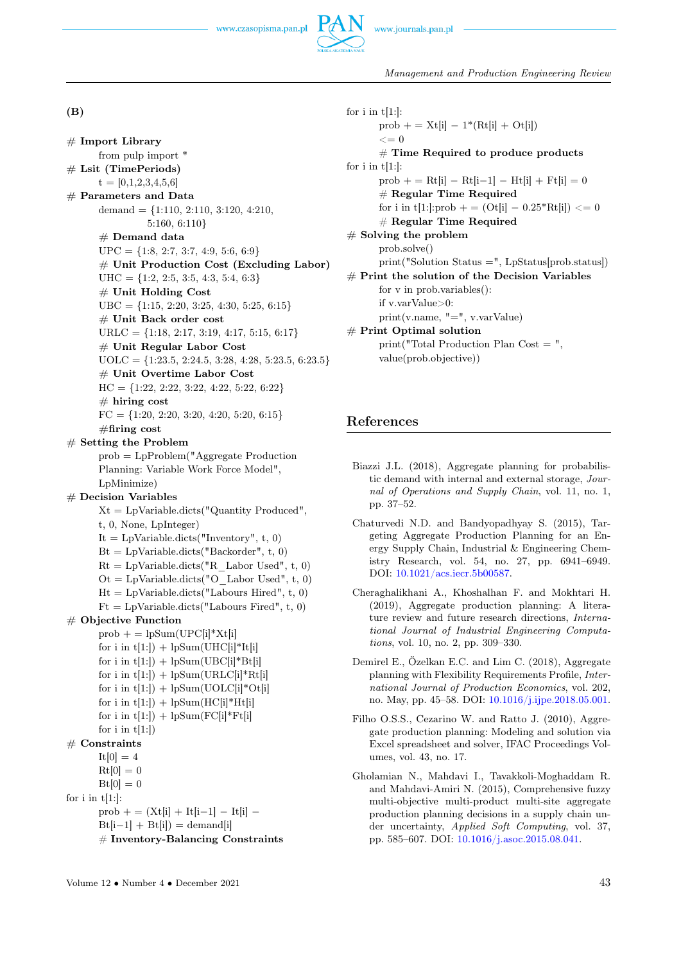

# (B)

```
# Import Library
      from pulp import *
# Lsit (TimePeriods)
      t = [0,1,2,3,4,5,6]# Parameters and Data
      demand = \{1:110, 2:110, 3:120, 4:210, \ldots\}5:160, 6:110}
      # Demand data
      UPC = \{1:8, 2:7, 3:7, 4:9, 5:6, 6:9\}# Unit Production Cost (Excluding Labor)
      UHC = \{1:2, 2:5, 3:5, 4:3, 5:4, 6:3\}# Unit Holding Cost
      UBC = \{1:15, 2:20, 3:25, 4:30, 5:25, 6:15\}# Unit Back order cost
      URLC = \{1:18, 2:17, 3:19, 4:17, 5:15, 6:17\}# Unit Regular Labor Cost
      UOLC = \{1:23.5, 2:24.5, 3:28, 4:28, 5:23.5, 6:23.5\}# Unit Overtime Labor Cost
      HC = \{1:22, 2:22, 3:22, 4:22, 5:22, 6:22\}# hiring cost
      FC = \{1:20, 2:20, 3:20, 4:20, 5:20, 6:15\}#firing cost
# Setting the Problem
      prob = LpProblem("Aggregate Production
      Planning: Variable Work Force Model",
      LpMinimize)
# Decision Variables
      Xt = LpVariable.dicts("Quantity produced",t, 0, None, LpInteger)
      It = Lp\text{Variable.dicts("Inventory", t, 0)}Bt = LpVariable.dicts("Backorder", t, 0)Rt = LpVariable.dicts("R–Labor Used", t, 0)Ot = LpVariable.dicts("O–Labor Used", t, 0)Ht = LpVariable.dicts("Labours Hired", t, 0)Ft = LpVariable.dicts("Labours Fried", t, 0)# Objective Function
      prob + = lpSum(UPC[i]*Xt[i]for i in t[1:]) + lpSum(UHC[i]*It[i]for i in t[1:]) + lpSum(UBC[i]*Bt[i]for i in t[1:]) + lpSum(URLC[i]*Rt[i]for i in t[1:]) + lpSum(UOLC[i]*Ot[i]for i in t[1:]) + lpSum(HC[i]*Ht[i]for i in t[1:]) + lpSum(FC[i]*Ft[i]for i in t[1:]# Constraints
      It[0] = 4Rt[0] = 0Bt[0] = 0for i in t[1:]:prob + = (Xt[i] + It[i-1] - It[i] -Bt[i-1] + Bt[i] =demand[i]
      # Inventory-Balancing Constraints
```

```
for i in t[1:]:prob + = Xt[i] - 1*(Rt[i] + Ot[i])\leq = 0
      # Time Required to produce products
for i in t[1:]:
      prob + = Rt[i] – Rt[i-1] – Ht[i] + Ft[i] = 0
      # Regular Time Required
      for i in t[1:]:prob + = (Ot[i] - 0.25 * Rt[i]) <= 0
      # Regular Time Required
# Solving the problem
      prob.solve()
      print("Solution Status =", LpStatus[prob.status])
# Print the solution of the Decision Variables
      for v in prob.variables():
      if v.varValue>0:
      print(v.name, "=", v.varValue)
# Print Optimal solution
      print("Total Production Plan Cost = ",
      value(prob.objective))
```
# <span id="page-5-0"></span>References

- Biazzi J.L. (2018), Aggregate planning for probabilistic demand with internal and external storage, Journal of Operations and Supply Chain, vol. 11, no. 1, pp. 37–52.
- Chaturvedi N.D. and Bandyopadhyay S. (2015), Targeting Aggregate Production Planning for an Energy Supply Chain, Industrial & Engineering Chemistry Research, vol. 54, no. 27, pp. 6941–6949. DOI: [10.1021/acs.iecr.5b00587.](https://doi.org/10.1021/acs.iecr.5b00587)
- Cheraghalikhani A., Khoshalhan F. and Mokhtari H. (2019), Aggregate production planning: A literature review and future research directions, International Journal of Industrial Engineering Computations, vol. 10, no. 2, pp. 309–330.
- Demirel E., Özelkan E.C. and Lim C. (2018), Aggregate planning with Flexibility Requirements Profile, International Journal of Production Economics, vol. 202, no. May, pp. 45–58. DOI: [10.1016/j.ijpe.2018.05.001.](https://doi.org/10.1016/j.ijpe.2018.05.001)
- Filho O.S.S., Cezarino W. and Ratto J. (2010), Aggregate production planning: Modeling and solution via Excel spreadsheet and solver, IFAC Proceedings Volumes, vol. 43, no. 17.
- Gholamian N., Mahdavi I., Tavakkoli-Moghaddam R. and Mahdavi-Amiri N. (2015), Comprehensive fuzzy multi-objective multi-product multi-site aggregate production planning decisions in a supply chain under uncertainty, Applied Soft Computing, vol. 37, pp. 585–607. DOI: [10.1016/j.asoc.2015.08.041.](https://doi.org/)